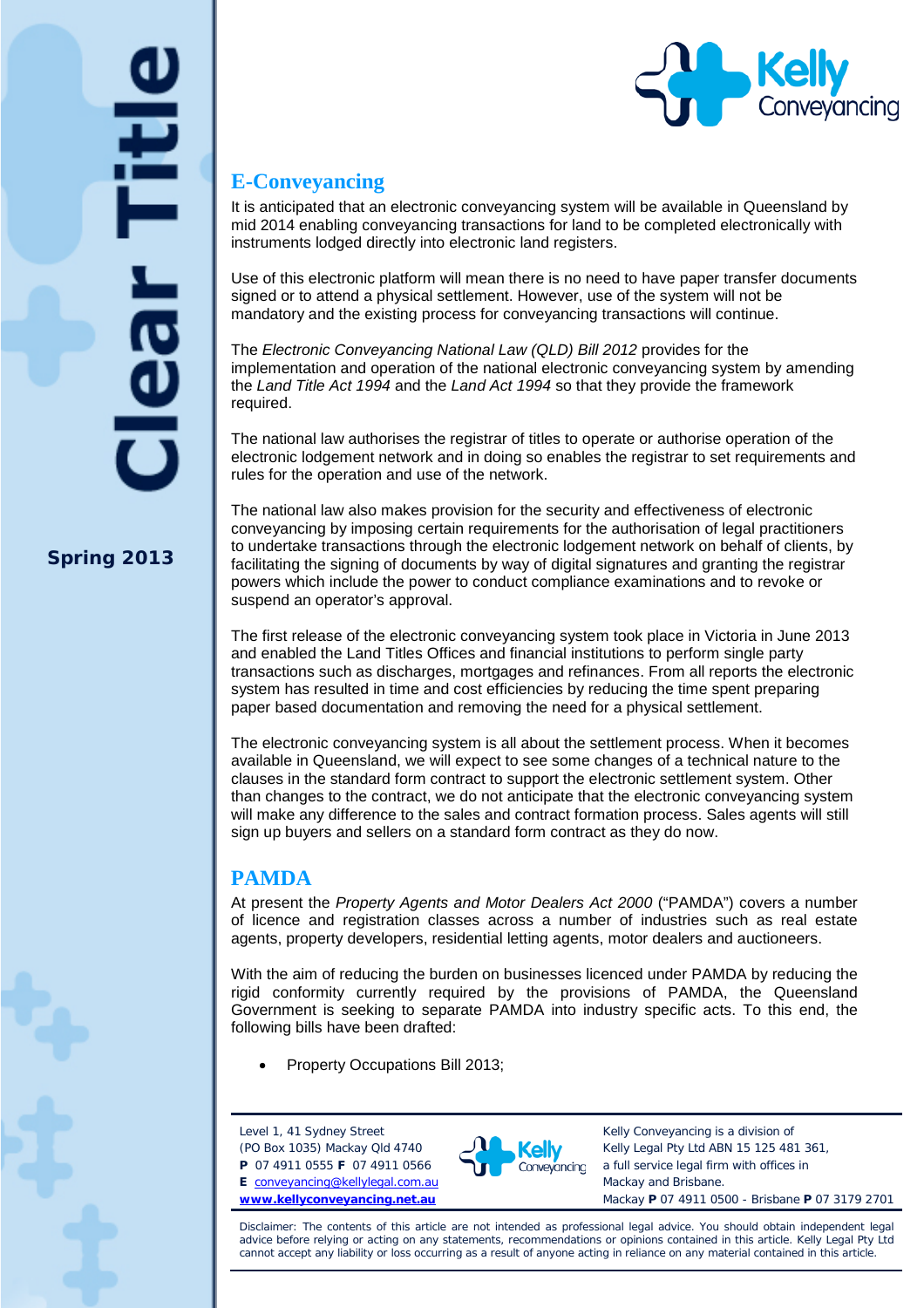



## **E-Conveyancing**

It is anticipated that an electronic conveyancing system will be available in Queensland by mid 2014 enabling conveyancing transactions for land to be completed electronically with instruments lodged directly into electronic land registers.

Use of this electronic platform will mean there is no need to have paper transfer documents signed or to attend a physical settlement. However, use of the system will not be mandatory and the existing process for conveyancing transactions will continue.

The *Electronic Conveyancing National Law (QLD) Bill 2012* provides for the implementation and operation of the national electronic conveyancing system by amending the *Land Title Act 1994* and the *Land Act 1994* so that they provide the framework required.

The national law authorises the registrar of titles to operate or authorise operation of the electronic lodgement network and in doing so enables the registrar to set requirements and rules for the operation and use of the network.

The national law also makes provision for the security and effectiveness of electronic conveyancing by imposing certain requirements for the authorisation of legal practitioners to undertake transactions through the electronic lodgement network on behalf of clients, by facilitating the signing of documents by way of digital signatures and granting the registrar powers which include the power to conduct compliance examinations and to revoke or suspend an operator's approval.

The first release of the electronic conveyancing system took place in Victoria in June 2013 and enabled the Land Titles Offices and financial institutions to perform single party transactions such as discharges, mortgages and refinances. From all reports the electronic system has resulted in time and cost efficiencies by reducing the time spent preparing paper based documentation and removing the need for a physical settlement.

The electronic conveyancing system is all about the settlement process. When it becomes available in Queensland, we will expect to see some changes of a technical nature to the clauses in the standard form contract to support the electronic settlement system. Other than changes to the contract, we do not anticipate that the electronic conveyancing system will make any difference to the sales and contract formation process. Sales agents will still sign up buyers and sellers on a standard form contract as they do now.

## **PAMDA**

At present the *Property Agents and Motor Dealers Act 2000* ("PAMDA") covers a number of licence and registration classes across a number of industries such as real estate agents, property developers, residential letting agents, motor dealers and auctioneers.

With the aim of reducing the burden on businesses licenced under PAMDA by reducing the rigid conformity currently required by the provisions of PAMDA, the Queensland Government is seeking to separate PAMDA into industry specific acts. To this end, the following bills have been drafted:

• Property Occupations Bill 2013;

Level 1, 41 Sydney Street (PO Box 1035) Mackay Qld 4740

**P** 07 4911 0555 **F** 07 4911 0566 **E** [conveyancing@kellylegal.com.au](mailto:conveyancing@kellylegal.com.au) **[www.kellyconveyancing.net.au](http://www.kellyconveyancing.net.au/)**



Kelly Conveyancing is a division of Kelly Legal Pty Ltd ABN 15 125 481 361, a full service legal firm with offices in Mackay and Brisbane. Mackay **P** 07 4911 0500 - Brisbane **P** 07 3179 2701

Disclaimer: The contents of this article are not intended as professional legal advice. You should obtain independent legal advice before relying or acting on any statements, recommendations or opinions contained in this article. Kelly Legal Pty Ltd cannot accept any liability or loss occurring as a result of anyone acting in reliance on any material contained in this article.

**Spring 2013**